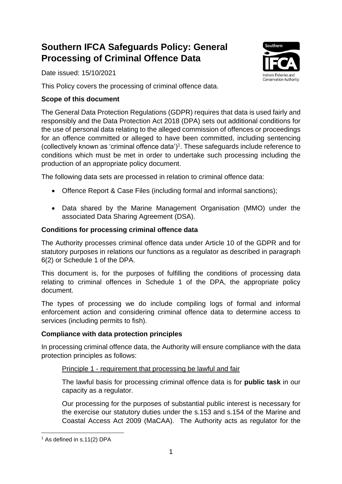# **Southern IFCA Safeguards Policy: General Processing of Criminal Offence Data**

Date issued: 15/10/2021



This Policy covers the processing of criminal offence data.

## **Scope of this document**

The General Data Protection Regulations (GDPR) requires that data is used fairly and responsibly and the Data Protection Act 2018 (DPA) sets out additional conditions for the use of personal data relating to the alleged commission of offences or proceedings for an offence committed or alleged to have been committed, including sentencing (collectively known as 'criminal offence data') $<sup>1</sup>$ . These safeguards include reference to</sup> conditions which must be met in order to undertake such processing including the production of an appropriate policy document.

The following data sets are processed in relation to criminal offence data:

- Offence Report & Case Files (including formal and informal sanctions);
- Data shared by the Marine Management Organisation (MMO) under the associated Data Sharing Agreement (DSA).

## **Conditions for processing criminal offence data**

The Authority processes criminal offence data under Article 10 of the GDPR and for statutory purposes in relations our functions as a regulator as described in paragraph 6(2) or Schedule 1 of the DPA.

This document is, for the purposes of fulfilling the conditions of processing data relating to criminal offences in Schedule 1 of the DPA, the appropriate policy document.

The types of processing we do include compiling logs of formal and informal enforcement action and considering criminal offence data to determine access to services (including permits to fish).

## **Compliance with data protection principles**

In processing criminal offence data, the Authority will ensure compliance with the data protection principles as follows:

## Principle 1 - requirement that processing be lawful and fair

The lawful basis for processing criminal offence data is for **public task** in our capacity as a regulator.

Our processing for the purposes of substantial public interest is necessary for the exercise our statutory duties under the s.153 and s.154 of the Marine and Coastal Access Act 2009 (MaCAA). The Authority acts as regulator for the

<sup>&</sup>lt;sup>1</sup> As defined in s.11(2) DPA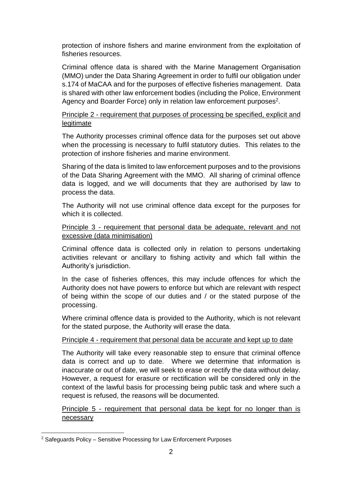protection of inshore fishers and marine environment from the exploitation of fisheries resources.

Criminal offence data is shared with the Marine Management Organisation (MMO) under the Data Sharing Agreement in order to fulfil our obligation under s.174 of MaCAA and for the purposes of effective fisheries management. Data is shared with other law enforcement bodies (including the Police, Environment Agency and Boarder Force) only in relation law enforcement purposes<sup>2</sup>.

#### Principle 2 - requirement that purposes of processing be specified, explicit and legitimate

The Authority processes criminal offence data for the purposes set out above when the processing is necessary to fulfil statutory duties. This relates to the protection of inshore fisheries and marine environment.

Sharing of the data is limited to law enforcement purposes and to the provisions of the Data Sharing Agreement with the MMO. All sharing of criminal offence data is logged, and we will documents that they are authorised by law to process the data.

The Authority will not use criminal offence data except for the purposes for which it is collected.

#### Principle 3 - requirement that personal data be adequate, relevant and not excessive (data minimisation)

Criminal offence data is collected only in relation to persons undertaking activities relevant or ancillary to fishing activity and which fall within the Authority's jurisdiction.

In the case of fisheries offences, this may include offences for which the Authority does not have powers to enforce but which are relevant with respect of being within the scope of our duties and / or the stated purpose of the processing.

Where criminal offence data is provided to the Authority, which is not relevant for the stated purpose, the Authority will erase the data.

#### Principle 4 - requirement that personal data be accurate and kept up to date

The Authority will take every reasonable step to ensure that criminal offence data is correct and up to date. Where we determine that information is inaccurate or out of date, we will seek to erase or rectify the data without delay. However, a request for erasure or rectification will be considered only in the context of the lawful basis for processing being public task and where such a request is refused, the reasons will be documented.

Principle 5 - requirement that personal data be kept for no longer than is necessary

<sup>2</sup> Safeguards Policy – Sensitive Processing for Law Enforcement Purposes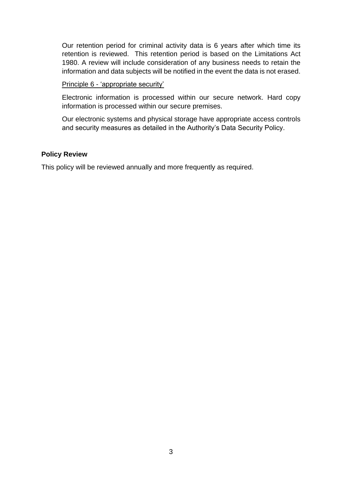Our retention period for criminal activity data is 6 years after which time its retention is reviewed. This retention period is based on the Limitations Act 1980. A review will include consideration of any business needs to retain the information and data subjects will be notified in the event the data is not erased.

Principle 6 - 'appropriate security'

Electronic information is processed within our secure network. Hard copy information is processed within our secure premises.

Our electronic systems and physical storage have appropriate access controls and security measures as detailed in the Authority's Data Security Policy.

#### **Policy Review**

This policy will be reviewed annually and more frequently as required.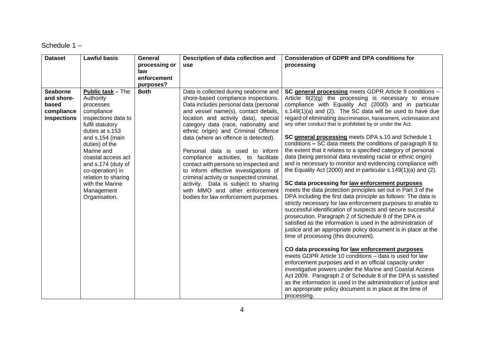#### Schedule 1 –

| <b>Dataset</b>  | <b>Lawful basis</b>      | General                  | Description of data collection and       | <b>Consideration of GDPR and DPA conditions for</b>                                                                 |
|-----------------|--------------------------|--------------------------|------------------------------------------|---------------------------------------------------------------------------------------------------------------------|
|                 |                          | processing or            | <b>use</b>                               | processing                                                                                                          |
|                 |                          | law                      |                                          |                                                                                                                     |
|                 |                          | enforcement              |                                          |                                                                                                                     |
| <b>Seaborne</b> | <b>Public task - The</b> | purposes?<br><b>Both</b> | Data is collected during seaborne and    | SC general processing meets GDPR Article 9 conditions -                                                             |
| and shore-      | Authority                |                          | shore-based compliance inspections.      | Article $9(2)(g)$ the processing is necessary to ensure                                                             |
| based           | processes                |                          | Data includes personal data (personal    | compliance with Equality Act (2000) and in particular                                                               |
| compliance      | compliance               |                          | and vessel name(s), contact details,     | s.149 $(1)(a)$ and $(2)$ . The SC data will be used to have due                                                     |
| inspections     | inspections data to      |                          | location and activity data), special     | regard of eliminating discrimination, harassment, victimisation and                                                 |
|                 | fulfil statutory         |                          | category data (race, nationality and     | any other conduct that is prohibited by or under the Act.                                                           |
|                 | duties at s.153          |                          | ethnic origin) and Criminal Offence      |                                                                                                                     |
|                 | and s.154 (main          |                          | data (where an offence is detected).     | SC general processing meets DPA s.10 and Schedule 1                                                                 |
|                 | duties) of the           |                          |                                          | conditions - SC data meets the conditions of paragraph 8 to                                                         |
|                 | Marine and               |                          | Personal data is used to inform          | the extent that it relates to a specified category of personal                                                      |
|                 | coastal access act       |                          | compliance activities, to facilitate     | data (being personal data revealing racial or ethnic origin)                                                        |
|                 | and s.174 (duty of       |                          | contact with persons so inspected and    | and is necessary to monitor and evidencing compliance with                                                          |
|                 | co-operation) in         |                          | to inform effective investigations of    | the Equality Act (2000) and in particular s.149(1)(a) and (2).                                                      |
|                 | relation to sharing      |                          | criminal activity or suspected criminal, |                                                                                                                     |
|                 | with the Marine          |                          | activity. Data is subject to sharing     | SC data processing for law enforcement purposes                                                                     |
|                 | Management               |                          | with MMO and other enforcement           | meets the data protection principles set out in Part 3 of the                                                       |
|                 | Organisation.            |                          | bodies for law enforcement purposes.     | DPA including the first data principle as follows: The data is                                                      |
|                 |                          |                          |                                          | strictly necessary for law enforcement purposes to enable to                                                        |
|                 |                          |                          |                                          | successful identification of suspects and secure successful<br>prosecution. Paragraph 2 of Schedule 8 of the DPA is |
|                 |                          |                          |                                          | satisfied as the information is used in the administration of                                                       |
|                 |                          |                          |                                          | justice and an appropriate policy document is in place at the                                                       |
|                 |                          |                          |                                          | time of processing (this document).                                                                                 |
|                 |                          |                          |                                          |                                                                                                                     |
|                 |                          |                          |                                          | CO data processing for law enforcement purposes                                                                     |
|                 |                          |                          |                                          | meets GDPR Article 10 conditions - data is used for law                                                             |
|                 |                          |                          |                                          | enforcement purposes and in an official capacity under                                                              |
|                 |                          |                          |                                          | investigative powers under the Marine and Coastal Access                                                            |
|                 |                          |                          |                                          | Act 2009. Paragraph 2 of Schedule 8 of the DPA is satisfied                                                         |
|                 |                          |                          |                                          | as the information is used in the administration of justice and                                                     |
|                 |                          |                          |                                          | an appropriate policy document is in place at the time of                                                           |
|                 |                          |                          |                                          | processing.                                                                                                         |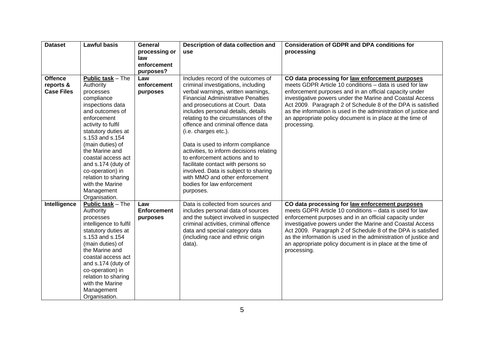| <b>Dataset</b>    | <b>Lawful basis</b>      | General            | Description of data collection and        | <b>Consideration of GDPR and DPA conditions for</b>             |
|-------------------|--------------------------|--------------------|-------------------------------------------|-----------------------------------------------------------------|
|                   |                          | processing or      | use                                       | processing                                                      |
|                   |                          | law                |                                           |                                                                 |
|                   |                          | enforcement        |                                           |                                                                 |
|                   |                          | purposes?          |                                           |                                                                 |
| <b>Offence</b>    | <b>Public task - The</b> | Law                | Includes record of the outcomes of        | CO data processing for law enforcement purposes                 |
| reports &         | Authority                | enforcement        | criminal investigations, including        | meets GDPR Article 10 conditions - data is used for law         |
| <b>Case Files</b> | processes                | purposes           | verbal warnings, written warnings,        | enforcement purposes and in an official capacity under          |
|                   | compliance               |                    | <b>Financial Administrative Penalties</b> | investigative powers under the Marine and Coastal Access        |
|                   | inspections data         |                    | and prosecutions at Court. Data           | Act 2009. Paragraph 2 of Schedule 8 of the DPA is satisfied     |
|                   | and outcomes of          |                    | includes personal details, details        | as the information is used in the administration of justice and |
|                   | enforcement              |                    | relating to the circumstances of the      | an appropriate policy document is in place at the time of       |
|                   | activity to fulfil       |                    | offence and criminal offence data         | processing.                                                     |
|                   | statutory duties at      |                    | (i.e. charges etc.).                      |                                                                 |
|                   | s.153 and s.154          |                    |                                           |                                                                 |
|                   | (main duties) of         |                    | Data is used to inform compliance         |                                                                 |
|                   | the Marine and           |                    | activities, to inform decisions relating  |                                                                 |
|                   | coastal access act       |                    | to enforcement actions and to             |                                                                 |
|                   | and s.174 (duty of       |                    | facilitate contact with persons so        |                                                                 |
|                   | co-operation) in         |                    | involved. Data is subject to sharing      |                                                                 |
|                   | relation to sharing      |                    | with MMO and other enforcement            |                                                                 |
|                   | with the Marine          |                    | bodies for law enforcement                |                                                                 |
|                   | Management               |                    | purposes.                                 |                                                                 |
|                   | Organisation.            |                    |                                           |                                                                 |
| Intelligence      | <b>Public task - The</b> | Law                | Data is collected from sources and        | CO data processing for law enforcement purposes                 |
|                   | Authority                | <b>Enforcement</b> | includes personal data of sources         | meets GDPR Article 10 conditions - data is used for law         |
|                   | processes                | purposes           | and the subject involved in suspected     | enforcement purposes and in an official capacity under          |
|                   | intelligence to fulfil   |                    | criminal activities, criminal offence     | investigative powers under the Marine and Coastal Access        |
|                   | statutory duties at      |                    | data and special category data            | Act 2009. Paragraph 2 of Schedule 8 of the DPA is satisfied     |
|                   | s.153 and s.154          |                    | (including race and ethnic origin         | as the information is used in the administration of justice and |
|                   | (main duties) of         |                    | data).                                    | an appropriate policy document is in place at the time of       |
|                   | the Marine and           |                    |                                           | processing.                                                     |
|                   | coastal access act       |                    |                                           |                                                                 |
|                   | and s.174 (duty of       |                    |                                           |                                                                 |
|                   | co-operation) in         |                    |                                           |                                                                 |
|                   | relation to sharing      |                    |                                           |                                                                 |
|                   | with the Marine          |                    |                                           |                                                                 |
|                   | Management               |                    |                                           |                                                                 |
|                   | Organisation.            |                    |                                           |                                                                 |